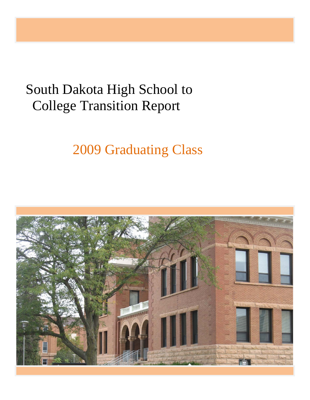# South Dakota High School to College Transition Report

2009 Graduating Class

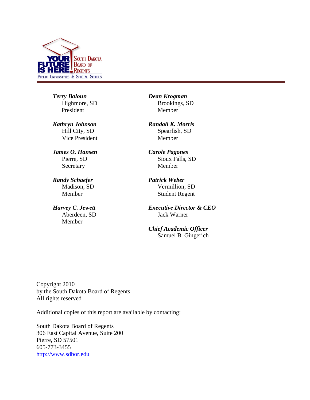

*Terry Baloun* Highmore, SD President

*Kathryn Johnson* Hill City, SD Vice President

*James O. Hansen* Pierre, SD Secretary

*Randy Schaefer* Madison, SD Member

*Harvey C. Jewett* Aberdeen, SD Member

*Dean Krogman* Brookings, SD Member

*Randall K. Morris* Spearfish, SD Member

*Carole Pagones* Sioux Falls, SD Member

*Patrick Weber* Vermillion, SD Student Regent

*Executive Director & CEO* Jack Warner

*Chief Academic Officer* Samuel B. Gingerich

Copyright 2010 by the South Dakota Board of Regents All rights reserved

Additional copies of this report are available by contacting:

South Dakota Board of Regents 306 East Capital Avenue, Suite 200 Pierre, SD 57501 605-773-3455 [http://www.sdbor.edu](mailto:pault@sdbor.edu)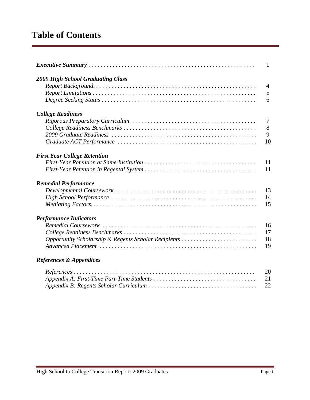### **Table of Contents**

|                                                      | $\mathbf{1}$   |
|------------------------------------------------------|----------------|
| <b>2009 High School Graduating Class</b>             |                |
|                                                      | $\overline{4}$ |
|                                                      | 5              |
|                                                      | 6              |
| <b>College Readiness</b>                             |                |
|                                                      | 7              |
|                                                      | 8              |
|                                                      | 9              |
|                                                      | 10             |
| <b>First Year College Retention</b>                  |                |
|                                                      | 11             |
|                                                      | 11             |
| <b>Remedial Performance</b>                          |                |
|                                                      | 13             |
|                                                      | 14             |
|                                                      | 15             |
| <b>Performance Indicators</b>                        |                |
|                                                      | 16             |
|                                                      | 17             |
| Opportunity Scholarship & Regents Scholar Recipients | 18             |
|                                                      | 19             |
| <b>References &amp; Appendices</b>                   |                |
|                                                      | 20             |
|                                                      | 21             |
|                                                      | 22             |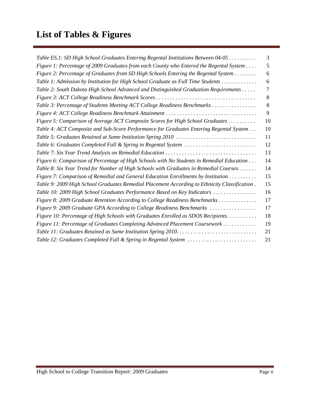## **List of Tables & Figures**

| Table ES.1: SD High School Graduates Entering Regental Institutions Between 04-05             | 3  |
|-----------------------------------------------------------------------------------------------|----|
| Figure 1: Percentage of 2009 Graduates from each County who Entered the Regental System       | 5  |
| Figure 2: Percentage of Graduates from SD High Schools Entering the Regental System           | 6  |
| Table 1: Admission by Institution for High School Graduate as Full Time Students              | 6  |
| Table 2: South Dakota High School Advanced and Distinguished Graduation Requirements          | 7  |
|                                                                                               | 8  |
| Table 3: Percentage of Students Meeting ACT College Readiness Benchmarks                      | 8  |
| Figure 4: ACT College Readiness Benchmark Attainment                                          | 9  |
| Figure 5: Comparison of Average ACT Composite Scores for High School Graduates                | 10 |
| Table 4: ACT Composite and Sub-Score Performance for Graduates Entering Regental System       | 10 |
| Table 5: Graduates Retained at Same Institution Spring 2010                                   | 11 |
| Table 6: Graduates Completed Fall & Spring in Regental System                                 | 12 |
|                                                                                               | 13 |
| Figure 6: Comparison of Percentage of High Schools with No Students in Remedial Education     | 14 |
| Table 8: Six Year Trend for Number of High Schools with Graduates in Remedial Courses         | 14 |
| Figure 7: Comparison of Remedial and General Education Enrollments by Institution             | 15 |
| Table 9: 2009 High School Graduates Remedial Placement According to Ethnicity Classification. | 15 |
| Table 10: 2009 High School Graduates Performance Based on Key Indicators                      | 16 |
| Figure 8: 2009 Graduate Retention According to College Readiness Benchmarks                   | 17 |
| Figure 9: 2009 Graduate GPA According to College Readiness Benchmarks                         | 17 |
| Figure 10: Percentage of High Schools with Graduates Enrolled as SDOS Recipients              | 18 |
| Figure 11: Percentage of Graduates Completing Advanced Placement Coursework                   | 19 |
|                                                                                               | 21 |
| Table 12: Graduates Completed Fall & Spring in Regental System                                | 21 |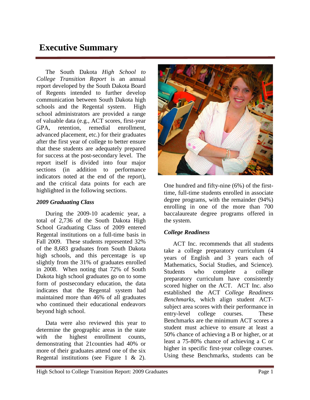### **Executive Summary**

The South Dakota *High School to College Transition Report* is an annual report developed by the South Dakota Board of Regents intended to further develop communication between South Dakota high schools and the Regental system. High school administrators are provided a range of valuable data (e.g., ACT scores, first-year GPA, retention, remedial enrollment, advanced placement, etc.) for their graduates after the first year of college to better ensure that these students are adequately prepared for success at the post-secondary level. The report itself is divided into four major sections (in addition to performance indicators noted at the end of the report), and the critical data points for each are highlighted in the following sections.

#### *2009 Graduating Class*

During the 2009-10 academic year, a total of 2,736 of the South Dakota High School Graduating Class of 2009 entered Regental institutions on a full-time basis in Fall 2009. These students represented 32% of the 8,683 graduates from South Dakota high schools, and this percentage is up slightly from the 31% of graduates enrolled in 2008. When noting that 72% of South Dakota high school graduates go on to some form of postsecondary education, the data indicates that the Regental system had maintained more than 46% of all graduates who continued their educational endeavors beyond high school.

Data were also reviewed this year to determine the geographic areas in the state with the highest enrollment counts, demonstrating that 21counties had 40% or more of their graduates attend one of the six Regental institutions (see Figure 1 & 2).



One hundred and fifty-nine (6%) of the firsttime, full-time students enrolled in associate degree programs, with the remainder (94%) enrolling in one of the more than 700 baccalaureate degree programs offered in the system.

### *College Readiness*

ACT Inc. recommends that all students take a college preparatory curriculum (4 years of English and 3 years each of Mathematics, Social Studies, and Science). Students who complete a college preparatory curriculum have consistently scored higher on the ACT. ACT Inc. also established the ACT *College Readiness Benchmarks*, which align student ACTsubject area scores with their performance in entry-level college courses. These Benchmarks are the minimum ACT scores a student must achieve to ensure at least a 50% chance of achieving a B or higher, or at least a 75-80% chance of achieving a C or higher in specific first-year college courses. Using these Benchmarks, students can be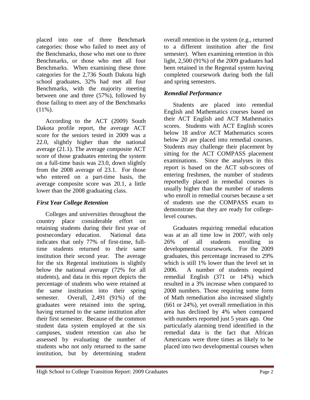placed into one of three Benchmark categories: those who failed to meet any of the Benchmarks, those who met one to three Benchmarks, or those who met all four Benchmarks. When examining these three categories for the 2,736 South Dakota high school graduates, 32% had met all four Benchmarks, with the majority meeting between one and three (57%), followed by those failing to meet any of the Benchmarks  $(11\%)$ .

According to the ACT (2009) South Dakota profile report, the average ACT score for the seniors tested in 2009 was a 22.0, slightly higher than the national average (21.1). The average composite ACT score of those graduates entering the system on a full-time basis was 23.0, down slightly from the 2008 average of 23.1. For those who entered on a part-time basis, the average composite score was 20.1, a little lower than the 2008 graduating class.

#### *First Year College Retention*

Colleges and universities throughout the country place considerable effort on retaining students during their first year of postsecondary education. National data indicates that only 77% of first-time, fulltime students returned to their same institution their second year. The average for the six Regental institutions is slightly below the national average (72% for all students), and data in this report depicts the percentage of students who were retained at the same institution into their spring semester. Overall, 2,491 (91%) of the graduates were retained into the spring, having returned to the same institution after their first semester. Because of the common student data system employed at the six campuses, student retention can also be assessed by evaluating the number of students who not only returned to the same institution, but by determining student

overall retention in the system (e.g., returned to a different institution after the first semester). When examining retention in this light, 2,500 (91%) of the 2009 graduates had been retained in the Regental system having completed coursework during both the fall and spring semesters.

#### *Remedial Performance*

Students are placed into remedial English and Mathematics courses based on their ACT English and ACT Mathematics scores. Students with ACT English scores below 18 and/or ACT Mathematics scores below 20 are placed into remedial courses. Students may challenge their placement by sitting for the ACT COMPASS placement examinations. Since the analyses in this report is based on the ACT sub-scores of entering freshmen, the number of students reportedly placed in remedial courses is usually higher than the number of students who enroll in remedial courses because a set of students use the COMPASS exam to demonstrate that they are ready for collegelevel courses.

Graduates requiring remedial education was at an all time low in 2007, with only 26% of all students enrolling in developmental coursework. For the 2009 graduates, this percentage increased to 29% which is still 1% lower than the level set in 2006. A number of students required remedial English (371 or 14%) which resulted in a 3% increase when compared to 2008 numbers. Those requiring some form of Math remediation also increased slightly (661 or 24%), yet overall remediation in this area has declined by 4% when compared with numbers reported just 5 years ago. One particularly alarming trend identified in the remedial data is the fact that African Americans were three times as likely to be placed into two developmental courses when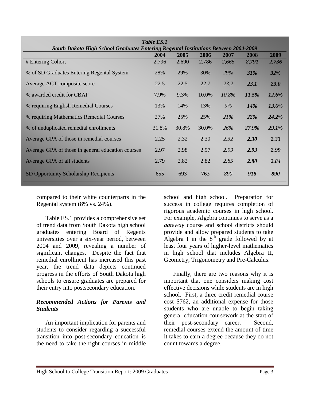| <b>South Dakota High School Graduates Entering Regental Institutions Between 2004-2009</b> | Table ES.1 |       |       |            |             |             |
|--------------------------------------------------------------------------------------------|------------|-------|-------|------------|-------------|-------------|
|                                                                                            | 2004       | 2005  | 2006  | 2007       | 2008        | 2009        |
| # Entering Cohort                                                                          | 2,796      | 2,690 | 2,786 | 2,665      | 2,791       | 2,736       |
| % of SD Graduates Entering Regental System                                                 | 28%        | 29%   | 30%   | <b>29%</b> | 31%         | <b>32%</b>  |
| Average ACT composite score                                                                | 22.5       | 22.5  | 22.7  | 23.2       | <b>23.1</b> | <b>23.0</b> |
| % awarded credit for CBAP                                                                  | 7.9%       | 9.3%  | 10.0% | 10.8%      | 11.5%       | 12.6%       |
| % requiring English Remedial Courses                                                       | 13%        | 14%   | 13%   | 9%         | <b>14%</b>  | 13.6%       |
| % requiring Mathematics Remedial Courses                                                   | 27%        | 25%   | 25%   | 21%        | <b>22%</b>  | 24.2%       |
| % of unduplicated remedial enrollments                                                     | 31.8%      | 30.8% | 30.0% | 26%        | 27.9%       | 29.1%       |
| Average GPA of those in remedial courses                                                   | 2.25       | 2.32  | 2.30  | 2.32       | 2.30        | 2.33        |
| Average GPA of those in general education courses                                          | 2.97       | 2.98  | 2.97  | 2.99       | 2.93        | 2.99        |
| Average GPA of all students                                                                | 2.79       | 2.82  | 2.82  | 2.85       | <b>2.80</b> | 2.84        |
| <b>SD Opportunity Scholarship Recipients</b>                                               | 655        | 693   | 763   | 890        | 918         | 890         |

compared to their white counterparts in the Regental system (8% vs. 24%).

Table ES.1 provides a comprehensive set of trend data from South Dakota high school graduates entering Board of Regents universities over a six-year period, between 2004 and 2009, revealing a number of significant changes. Despite the fact that remedial enrollment has increased this past year, the trend data depicts continued progress in the efforts of South Dakota high schools to ensure graduates are prepared for their entry into postsecondary education.

#### *Recommended Actions for Parents and Students*

An important implication for parents and students to consider regarding a successful transition into post-secondary education is the need to take the right courses in middle

school and high school. Preparation for success in college requires completion of rigorous academic courses in high school. For example, Algebra continues to serve as a *gateway* course and school districts should provide and allow prepared students to take Algebra I in the  $8^{th}$  grade followed by at least four years of higher-level mathematics in high school that includes Algebra II, Geometry, Trigonometry and Pre-Calculus.

Finally, there are two reasons why it is important that one considers making cost effective decisions while students are in high school. First, a three credit remedial course cost \$762, an additional expense for those students who are unable to begin taking general education coursework at the start of their post-secondary career. Second, remedial courses extend the amount of time it takes to earn a degree because they do not count towards a degree.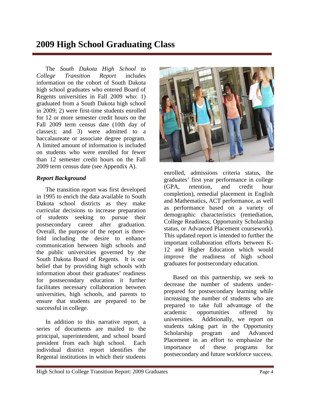### **2009 High School Graduating Class**

The *South Dakota High School to College Transition Report* includes information on the cohort of South Dakota high school graduates who entered Board of Regents universities in Fall 2009 who: 1) graduated from a South Dakota high school in 2009; 2) were first-time students enrolled for 12 or more semester credit hours on the Fall 2009 term census date (10th day of classes); and 3) were admitted to a baccalaureate or associate degree program. A limited amount of information is included on students who were enrolled for fewer than 12 semester credit hours on the Fall 2009 term census date (see Appendix A).

#### *Report Background*

The transition report was first developed in 1995 to enrich the data available to South Dakota school districts as they make curricular decisions to increase preparation of students seeking to pursue their postsecondary career after graduation. Overall, the purpose of the report is threefold including the desire to enhance communication between high schools and the public universities governed by the South Dakota Board of Regents. It is our belief that by providing high schools with information about their graduates' readiness for postsecondary education it further facilitates necessary collaboration between universities, high schools, and parents to ensure that students are prepared to be successful in college.

In addition to this narrative report, a series of documents are mailed to the principal, superintendent, and school board president from each high school. Each individual district report identifies the Regental institutions in which their students



enrolled, admissions criteria status, the graduates' first year performance in college (GPA, retention, and credit hour completion), remedial placement in English and Mathematics, ACT performance, as well as performance based on a variety of demographic characteristics (remediation, College Readiness, Opportunity Scholarship status, or Advanced Placement coursework). This updated report is intended to further the important collaboration efforts between K-12 and Higher Education which would improve the readiness of high school graduates for postsecondary education.

Based on this partnership, we seek to decrease the number of students underprepared for postsecondary learning while increasing the number of students who are prepared to take full advantage of the academic opportunities offered by universities. Additionally, we report on students taking part in the Opportunity Scholarship program and Advanced Placement in an effort to emphasize the importance of these programs for postsecondary and future workforce success.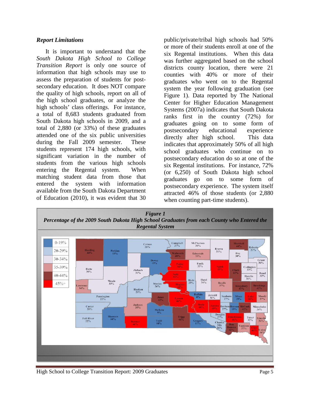#### *Report Limitations*

It is important to understand that the *South Dakota High School to College Transition Report* is only one source of information that high schools may use to assess the preparation of students for postsecondary education. It does NOT compare the quality of high schools, report on all of the high school graduates, or analyze the high schools' class offerings. For instance, a total of 8,683 students graduated from South Dakota high schools in 2009, and a total of 2,880 (or 33%) of these graduates attended one of the six public universities during the Fall 2009 semester. These students represent 174 high schools, with significant variation in the number of students from the various high schools entering the Regental system. When matching student data from those that entered the system with information available from the South Dakota Department of Education (2010), it was evident that 30

public/private/tribal high schools had 50% or more of their students enroll at one of the six Regental institutions. When this data was further aggregated based on the school districts county location, there were 21 counties with 40% or more of their graduates who went on to the Regental system the year following graduation (see Figure 1). Data reported by The National Center for Higher Education Management Systems (2007a) indicates that South Dakota ranks first in the country (72%) for graduates going on to some form of postsecondary educational experience directly after high school. This data indicates that approximately 50% of all high school graduates who continue on to postsecondary education do so at one of the six Regental institutions. For instance, 72% (or 6,250) of South Dakota high school graduates go on to some form of postsecondary experience. The system itself attracted 46% of those students (or 2,880 when counting part-time students).

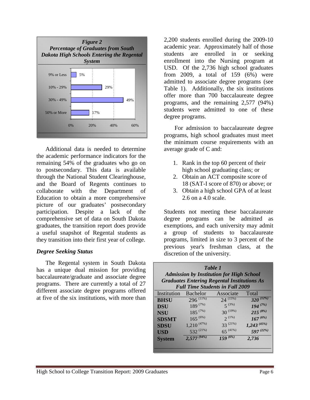

Additional data is needed to determine the academic performance indicators for the remaining 54% of the graduates who go on to postsecondary. This data is available through the National Student Clearinghouse, and the Board of Regents continues to collaborate with the Department of Education to obtain a more comprehensive picture of our graduates' postsecondary participation. Despite a lack of the comprehensive set of data on South Dakota graduates, the transition report does provide a useful snapshot of Regental students as they transition into their first year of college.

#### *Degree Seeking Status*

The Regental system in South Dakota has a unique dual mission for providing baccalaureate/graduate and associate degree programs. There are currently a total of 27 different associate degree programs offered at five of the six institutions, with more than

2,200 students enrolled during the 2009-10 academic year. Approximately half of those students are enrolled in or seeking enrollment into the Nursing program at USD. Of the 2,736 high school graduates from 2009, a total of 159 (6%) were admitted to associate degree programs (see Table 1). Additionally, the six institutions offer more than 700 baccalaureate degree programs, and the remaining 2,577 (94%) students were admitted to one of these degree programs.

For admission to baccalaureate degree programs, high school graduates must meet the minimum course requirements with an average grade of C and:

- 1. Rank in the top 60 percent of their high school graduating class; or
- 2. Obtain an ACT composite score of 18 (SAT-I score of 870) or above; or
- 3. Obtain a high school GPA of at least 2.6 on a 4.0 scale.

Students not meeting these baccalaureate degree programs can be admitted as exemptions, and each university may admit a group of students to baccalaureate programs, limited in size to 3 percent of the previous year's freshman class, at the discretion of the university.

| Table 1<br><b>Admission by Institution for High School</b><br><b>Graduates Entering Regental Institutions As</b><br><b>Full Time Students in Fall 2009</b> |                 |               |                           |  |  |  |  |
|------------------------------------------------------------------------------------------------------------------------------------------------------------|-----------------|---------------|---------------------------|--|--|--|--|
| Institution                                                                                                                                                | <b>Bachelor</b> | Associate     | Total                     |  |  |  |  |
| <b>BHSU</b>                                                                                                                                                | $296^{(11\%)}$  | $24^{(15\%)}$ | $320^{(12\%)}$            |  |  |  |  |
| <b>DSU</b>                                                                                                                                                 | $189^{(7\%)}$   | $5^{(3\%)}$   | $194^{(7%)}$              |  |  |  |  |
| <b>NSU</b>                                                                                                                                                 | $185^{(7\%)}$   | $30^{(19\%)}$ | $\frac{215}{167}^{(8\%)}$ |  |  |  |  |
| <b>SDSMT</b>                                                                                                                                               | $165^{(6%)}$    | $2^{(1\%)}$   |                           |  |  |  |  |

**SDSU** 1,210  $^{(47\%)}$  33  $^{(21\%)}$  1,243  $^{(45\%)}$ <br> **USD** 532  $^{(21\%)}$  65  $^{(41\%)}$  597  $^{(22\%)}$ 

**System** *2,577 (94%) 159 (6%) 2,736*

**USD**  $\frac{532^{(21\%)} }{2.577^{(94\%)} }$   $\frac{65^{(41\%)} }{159^{(6\%)} }$ 

| <b>High School to College Transition Report: 2009 Graduates</b> | <sup>o</sup> age 6 |
|-----------------------------------------------------------------|--------------------|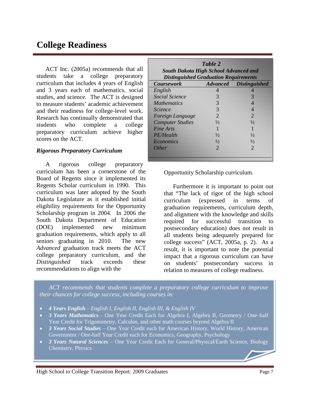### **College Readiness**

ACT Inc. (2005a) recommends that all students take a college preparatory curriculum that includes 4 years of English and 3 years each of mathematics, social studies, and science. The ACT is designed to measure students' academic achievement and their readiness for college-level work. Research has continually demonstrated that students who complete a college preparatory curriculum achieve higher scores on the ACT.

#### *Rigorous Preparatory Curriculum*

A rigorous college preparatory curriculum has been a cornerstone of the Board of Regents since it implemented its Regents Scholar curriculum in 1990. This curriculum was later adopted by the South Dakota Legislature as it established initial eligibility requirements for the Opportunity Scholarship program in 2004. In 2006 the South Dakota Department of Education (DOE) implemented new minimum graduation requirements, which apply to all seniors graduating in 2010. The new *Advanced* graduation track meets the ACT college preparatory curriculum, and the *Distinguished* track exceeds these recommendations to align with the

| Table 2<br><b>South Dakota High School Advanced and</b><br><b>Distinguished Graduation Requirements</b> |               |                               |  |  |  |  |  |
|---------------------------------------------------------------------------------------------------------|---------------|-------------------------------|--|--|--|--|--|
| <b>Coursework</b>                                                                                       |               | <b>Advanced</b> Distinguished |  |  |  |  |  |
| English                                                                                                 | 4             |                               |  |  |  |  |  |
| <b>Social Science</b>                                                                                   | 3             | 3                             |  |  |  |  |  |
| <i>Mathematics</i>                                                                                      | 3             | 4                             |  |  |  |  |  |
| <i>Science</i>                                                                                          | 3             |                               |  |  |  |  |  |
| Foreign Language                                                                                        | 2             | $\mathcal{D}_{\cdot}$         |  |  |  |  |  |
| <b>Computer Studies</b>                                                                                 | $\frac{1}{2}$ | $\frac{1}{2}$                 |  |  |  |  |  |
| Fine Arts                                                                                               |               |                               |  |  |  |  |  |
| PE/Health                                                                                               | $\frac{1}{2}$ | $\frac{1}{2}$                 |  |  |  |  |  |
| <i>Economics</i>                                                                                        | $\frac{1}{2}$ | $\frac{1}{2}$                 |  |  |  |  |  |
| <i>Other</i>                                                                                            | 2             | $\mathcal{D}_{\cdot}$         |  |  |  |  |  |
|                                                                                                         |               |                               |  |  |  |  |  |

Opportunity Scholarship curriculum.

Furthermore it is important to point out that "The lack of rigor of the high school curriculum (expressed in terms of graduation requirements, curriculum depth, and alignment with the knowledge and skills required for successful transition to postsecondary education) does not result in all students being adequately prepared for college success" (ACT, 2005a, p. 2). As a result, it is important to note the potential impact that a rigorous curriculum can have on students' postsecondary success in relation to measures of college readiness.

 *ACT recommends that students complete a preparatory college curriculum to improve their chances for college success, including courses in:*

- *4 Years English – English I, English II, English III, & English IV*
- *3 Years Mathematics -* One Year Credit Each for Algebra I, Algebra II, Geometry / One–half Year Credit for Trigonometry, Calculus, and other math courses beyond Algebra II
- *3 Years Social Studies –* One Year Credit each for American History, World History, American Government / One-half Year Credit each for Economics, Geography, Psychology
- *3 Years Natural Sciences –* One Year Credit Each for General/Physical/Earth Science, Biology Chemistry, Physics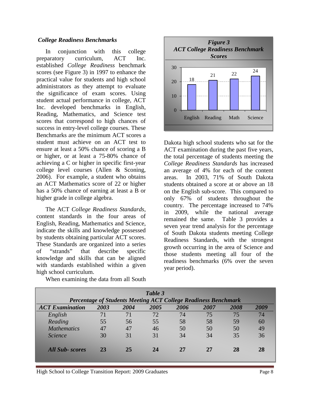#### *College Readiness Benchmarks*

In conjunction with this college preparatory curriculum, ACT Inc. established *College Readiness* benchmark scores (see Figure 3) in 1997 to enhance the practical value for students and high school administrators as they attempt to evaluate the significance of exam scores. Using student actual performance in college, ACT Inc. developed benchmarks in English, Reading, Mathematics, and Science test scores that correspond to high chances of success in entry-level college courses. These Benchmarks are the minimum ACT scores a student must achieve on an ACT test to ensure at least a 50% chance of scoring a B or higher, or at least a 75-80% chance of achieving a C or higher in specific first-year college level courses (Allen & Sconing, 2006). For example, a student who obtains an ACT Mathematics score of 22 or higher has a 50% chance of earning at least a B or higher grade in college algebra.

The ACT *College Readiness Standards*, content standards in the four areas of English, Reading, Mathematics and Science, indicate the skills and knowledge possessed by students obtaining particular ACT scores. These Standards are organized into a series of "strands" that describe specific knowledge and skills that can be aligned with standards established within a given high school curriculum.

When examining the data from all South



Dakota high school students who sat for the ACT examination during the past five years, the total percentage of students meeting the *College Readiness Standards* has increased an average of 4% for each of the content areas. In 2003, 71% of South Dakota students obtained a score at or above an 18 on the English sub-score. This compared to only 67% of students throughout the country. The percentage increased to 74% in 2009, while the national average remained the same. Table 3 provides a seven year trend analysis for the percentage of South Dakota students meeting College Readiness Standards, with the strongest growth occurring in the area of Science and those students meeting all four of the readiness benchmarks (6% over the seven year period).

|                        |      |      | Table 3<br>Percentage of Students Meeting ACT College Readiness Benchmark |      |      |      |      |
|------------------------|------|------|---------------------------------------------------------------------------|------|------|------|------|
| <b>ACT</b> Examination | 2003 | 2004 | 2005                                                                      | 2006 | 2007 | 2008 | 2009 |
| English                | 71   | 71   | 72                                                                        | 74   | 75   | 75   | 74   |
| Reading                | 55   | 56   | 55                                                                        | 58   | 58   | 59   | 60   |
| <b>Mathematics</b>     | 47   | 47   | 46                                                                        | 50   | 50   | 50   | 49   |
| <i>Science</i>         | 30   | 31   | 31                                                                        | 34   | 34   | 35   | 36   |
| All Sub-scores         | 23   | 25   | 24                                                                        | 27   | 27   | 28   | 28   |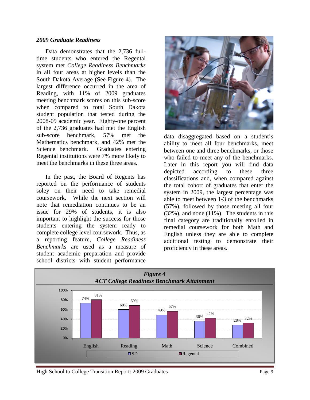#### *2009 Graduate Readiness*

Data demonstrates that the 2,736 fulltime students who entered the Regental system met *College Readiness Benchmarks* in all four areas at higher levels than the South Dakota Average (See Figure 4). The largest difference occurred in the area of Reading, with 11% of 2009 graduates meeting benchmark scores on this sub-score when compared to total South Dakota student population that tested during the 2008-09 academic year. Eighty-one percent of the 2,736 graduates had met the English sub-score benchmark, 57% met the Mathematics benchmark, and 42% met the Science benchmark. Graduates entering Regental institutions were 7% more likely to meet the benchmarks in these three areas.

In the past, the Board of Regents has reported on the performance of students soley on their need to take remedial coursework. While the next section will note that remediation continues to be an issue for 29% of students, it is also important to highlight the success for those students entering the system ready to complete college level coursework. Thus, as a reporting feature, *College Readiness Benchmarks* are used as a measure of student academic preparation and provide school districts with student performance



data disaggregated based on a student's ability to meet all four benchmarks, meet between one and three benchmarks, or those who failed to meet any of the benchmarks. Later in this report you will find data depicted according to these three classifications and, when compared against the total cohort of graduates that enter the system in 2009, the largest percentage was able to meet between 1-3 of the benchmarks (57%), followed by those meeting all four (32%), and none (11%). The students in this final category are traditionally enrolled in remedial coursework for both Math and English unless they are able to complete additional testing to demonstrate their proficiency in these areas.

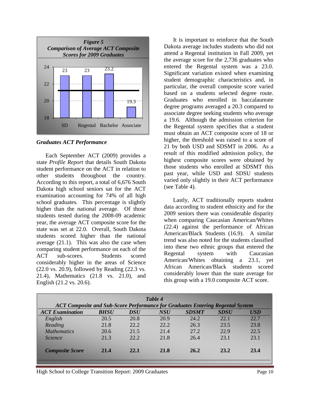

*Graduates ACT Performance*

Each September ACT (2009) provides a state *Profile Report* that details South Dakota student performance on the ACT in relation to other students throughout the country. According to this report, a total of 6,676 South Dakota high school seniors sat for the ACT examination accounting for 74% of all high school graduates. This percentage is slightly higher than the national average. Of those students tested during the 2008-09 academic year, the average ACT composite score for the state was set at 22.0. Overall, South Dakota students scored higher than the national average (21.1). This was also the case when comparing student performance on each of the ACT sub-scores. Students scored considerably higher in the areas of Science (22.0 vs. 20.9), followed by Reading (22.3 vs. 21.4), Mathematics (21.8 vs. 21.0), and English (21.2 vs. 20.6).

It is important to reinforce that the South Dakota average includes students who did not attend a Regental institution in Fall 2009, yet the average score for the 2,736 graduates who entered the Regental system was a 23.0. Significant variation existed when examining student demographic characteristics and, in particular, the overall composite score varied based on a students selected degree route. Graduates who enrolled in baccalaureate degree programs averaged a 20.3 compared to associate degree seeking students who average a 19.6. Although the admission criterion for the Regental system specifies that a student must obtain an ACT composite score of 18 or higher, the threshold was raised to a score of 21 by both USD and SDSMT in 2006. As a result of this modified admission policy, the highest composite scores were obtained by those students who enrolled at SDSMT this past year, while USD and SDSU students varied only slightly in their ACT performance (see Table 4).

Lastly, ACT traditionally reports student data according to student ethnicity and for the 2009 seniors there was considerable disparity when comparing Caucasian American/Whites (22.4) against the performance of African American/Black Students (16.9). A similar trend was also noted for the students classified into these two ethnic groups that entered the Regental system with Caucasian American/Whites obtaining a 23.1, yet African American/Black students scored considerably lower than the state average for this group with a 19.0 composite ACT score.

|                        |                                                                                       |            | Table 4    |              |             |            |  |  |  |
|------------------------|---------------------------------------------------------------------------------------|------------|------------|--------------|-------------|------------|--|--|--|
|                        | <b>ACT Composite and Sub-Score Performance for Graduates Entering Regental System</b> |            |            |              |             |            |  |  |  |
| <b>ACT</b> Examination | <b>BHSU</b>                                                                           | $\bm{DSU}$ | <b>NSU</b> | <b>SDSMT</b> | <b>SDSU</b> | <b>USD</b> |  |  |  |
| English                | 20.5                                                                                  | 20.8       | 20.9       | 24.2         | 22.1        | 22.7       |  |  |  |
| Reading                | 21.8                                                                                  | 22.2       | 22.2       | 26.3         | 23.5        | 23.8       |  |  |  |
| <b>Mathematics</b>     | 20.6                                                                                  | 21.5       | 21.4       | 27.2         | 22.9        | 22.5       |  |  |  |
| <i><u>Science</u></i>  | 21.3                                                                                  | 22.2       | 21.8       | 26.4         | 23.1        | 23.1       |  |  |  |
| <b>Composite Score</b> | 21.4                                                                                  | 22.1       | 21.8       | 26.2         | 23.2        | 23.4       |  |  |  |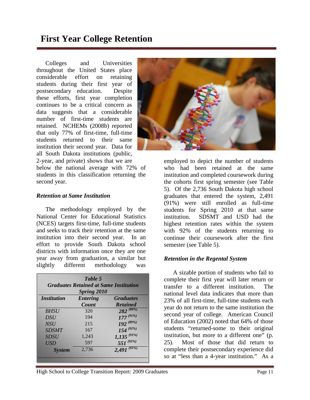### **First Year College Retention**

Colleges and Universities throughout the United States place considerable effort on retaining students during their first year of postsecondary education. Despite these efforts, first year completion continues to be a critical concern as data suggests that a considerable number of first-time students are retained. NCHEMs (2008b) reported that only 77% of first-time, full-time students returned to their same institution their second year. Data for all South Dakota institutions (public, 2-year, and private) shows that we are

below the national average with 72% of students in this classification returning the second year.

#### *Retention at Same Institution*

The methodology employed by the National Center for Educational Statistics (NCES) targets first-time, full-time students and seeks to track their retention at the same institution into their second year. In an effort to provide South Dakota school districts with information once they are one year away from graduation, a similar but slightly different methodology was

| Table 5<br><b>Graduates Retained at Same Institution</b><br><b>Spring 2010</b> |                          |                                     |  |  |  |
|--------------------------------------------------------------------------------|--------------------------|-------------------------------------|--|--|--|
| <i><b>Institution</b></i>                                                      | <b>Entering</b><br>Count | <b>Graduates</b><br><b>Retained</b> |  |  |  |
| <b>BHSU</b>                                                                    | 320                      | $282^{(88\%)}$                      |  |  |  |
| <b>DSU</b>                                                                     | 194                      | $177^{(91\%)}$                      |  |  |  |
| <b>NSU</b>                                                                     | 215                      | $192^{(89\%)}$                      |  |  |  |
| <b>SDSMT</b>                                                                   | 167                      | $154^{(92\%)}$                      |  |  |  |
| <b>SDSU</b>                                                                    | 1,243                    | $1,135$ <sup>(91%)</sup>            |  |  |  |
| <b>USD</b>                                                                     | 597                      | 551 $(92%)$                         |  |  |  |
| <b>System</b>                                                                  | 2,736                    | $2,491^{(91\%)}$                    |  |  |  |



employed to depict the number of students who had been retained at the same institution and completed coursework during the cohorts first spring semester (see Table 5). Of the 2,736 South Dakota high school graduates that entered the system, 2,491 (91%) were still enrolled as full-time students for Spring 2010 at that same institution. SDSMT and USD had the highest retention rates within the system with 92% of the students returning to continue their coursework after the first semester (see Table 5).

#### *Retention in the Regental System*

A sizable portion of students who fail to complete their first year will later return or transfer to a different institution. The national level data indicates that more than 23% of all first-time, full-time students each year do not return to the same institution the second year of college. American Council of Education (2002) noted that 64% of those students "returned-some to their original institution, but more to a different one" (p. 25). Most of those that did return to complete their postsecondary experience did so at "less than a 4-year institution." As a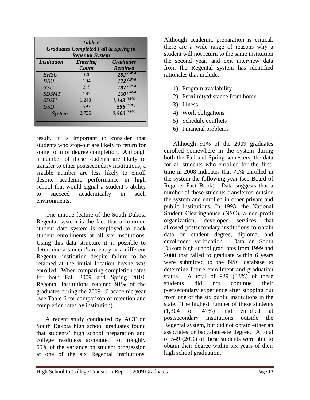| Table 6<br><b>Graduates Completed Fall &amp; Spring in</b><br><b>Regental System</b> |                          |                                     |  |  |  |
|--------------------------------------------------------------------------------------|--------------------------|-------------------------------------|--|--|--|
| <i><b>Institution</b></i>                                                            | <b>Entering</b><br>Count | <b>Graduates</b><br><b>Retained</b> |  |  |  |
| <b>BHSU</b>                                                                          | 320                      | $282^{(88\%)}$                      |  |  |  |
| <b>DSU</b>                                                                           | 194                      | $172^{(89\%)}$                      |  |  |  |
| <b>NSU</b>                                                                           | 215                      | $187^{(87\%)}$                      |  |  |  |
| <b>SDSMT</b>                                                                         | 167                      | $160^{(96\%)}$                      |  |  |  |
| <b>SDSU</b>                                                                          | 1,243                    |                                     |  |  |  |
| <b>USD</b>                                                                           | 597                      | $\frac{1,143}{556}$ (92%)           |  |  |  |
| <b>System</b>                                                                        | 2,736                    | $2,500^{(91\%)}$                    |  |  |  |

result, it is important to consider that students who stop-out are likely to return for some form of degree completion. Although a number of these students are likely to transfer to other postsecondary institutions, a sizable number are less likely to enroll despite academic performance in high school that would signal a student's ability to succeed academically in such environments.

One unique feature of the South Dakota Regental system is the fact that a common student data system is employed to track student enrollments at all six institutions. Using this data structure it is possible to determine a student's re-entry at a different Regental institution despite failure to be retained at the initial location he/she was enrolled. When comparing completion rates for both Fall 2009 and Spring 2010, Regental institutions retained 91% of the graduates during the 2009-10 academic year (see Table 6 for comparison of retention and completion rates by institution).

A recent study conducted by ACT on South Dakota high school graduates found that students' high school preparation and college readiness accounted for roughly 50% of the variance on student progression at one of the six Regental institutions.

Although academic preparation is critical, there are a wide range of reasons why a student will not return to the same institution the second year, and exit interview data from the Regental system has identified rationales that include:

- 1) Program availability
- 2) Proximity/distance from home
- 3) Illness
- 4) Work obligations
- 5) Schedule conflicts
- 6) Financial problems

Although 91% of the 2009 graduates enrolled somewhere in the system during both the Fall and Spring semesters, the data for all students who enrolled for the firsttime in 2008 indicates that 71% enrolled in the system the following year (see Board of Regents Fact Book). Data suggests that a number of these students transferred outside the system and enrolled in other private and public institutions. In 1993, the National Student Clearinghouse (NSC), a non-profit organization, developed services that allowed postsecondary institutions to obtain data on student degree, diploma, and enrollment verification. Data on South Dakota high school graduates from 1999 and 2000 that failed to graduate within 6 years were submitted to the NSC database to determine future enrollment and graduation status. A total of 929 (33%) of these students did not continue their postsecondary experience after stopping out from one of the six public institutions in the state. The highest number of these students (1,304 or 47%) had enrolled at postsecondary institutions outside the Regental system, but did not obtain either an associates or baccalaureate degree. A total of 549 (20%) of these students were able to obtain their degree within six years of their high school graduation.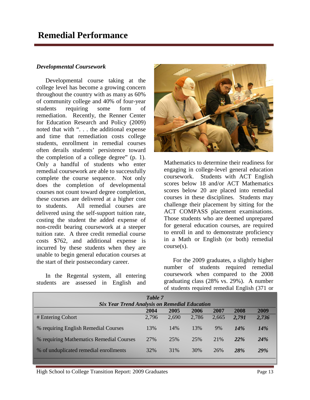#### *Developmental Coursework*

Developmental course taking at the college level has become a growing concern throughout the country with as many as 60% of community college and 40% of four-year students requiring some form of remediation. Recently, the Renner Center for Education Research and Policy (2009) noted that with ". . . the additional expense and time that remediation costs college students, enrollment in remedial courses often derails students' persistence toward the completion of a college degree" (p. 1). Only a handful of students who enter remedial coursework are able to successfully complete the course sequence. Not only does the completion of developmental courses not count toward degree completion, these courses are delivered at a higher cost to students. All remedial courses are delivered using the self-support tuition rate, costing the student the added expense of non-credit bearing coursework at a steeper tuition rate. A three credit remedial course costs \$762, and additional expense is incurred by these students when they are unable to begin general education courses at the start of their postsecondary career.

In the Regental system, all entering students are assessed in English and



Mathematics to determine their readiness for engaging in college-level general education coursework. Students with ACT English scores below 18 and/or ACT Mathematics scores below 20 are placed into remedial courses in these disciplines. Students may challenge their placement by sitting for the ACT COMPASS placement examinations. Those students who are deemed unprepared for general education courses, are required to enroll in and to demonstrate proficiency in a Math or English (or both) remedial course(s).

For the 2009 graduates, a slightly higher number of students required remedial coursework when compared to the 2008 graduating class (28% vs. 29%). A number of students required remedial English (371 or

|                                                      | Table 7 |       |       |       |            |            |
|------------------------------------------------------|---------|-------|-------|-------|------------|------------|
| <b>Six Year Trend Analysis on Remedial Education</b> |         |       |       |       |            |            |
|                                                      | 2004    | 2005  | 2006  | 2007  | 2008       | 2009       |
| # Entering Cohort                                    | 2,796   | 2,690 | 2,786 | 2,665 | 2,791      | 2,736      |
| % requiring English Remedial Courses                 | 13%     | 14%   | 13%   | 9%    | 14%        | 14%        |
| % requiring Mathematics Remedial Courses             | 27%     | 25%   | 25%   | 21%   | 22%        | <b>24%</b> |
| % of unduplicated remedial enrollments               | 32%     | 31%   | 30%   | 26%   | <b>28%</b> | <b>29%</b> |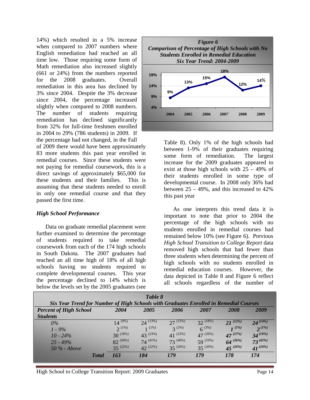14%) which resulted in a 5% increase when compared to 2007 numbers where English remediation had reached an all time low. Those requiring some form of Math remediation also increased slightly (661 or 24%) from the numbers reported for the 2008 graduates. Overall remediation in this area has declined by 3% since 2004. Despite the 3% decrease since 2004, the percentage increased slightly when compared to 2008 numbers. The number of students requiring remediation has declined significantly from 32% for full-time freshmen enrolled in 2004 to 29% (786 students) in 2009. If the percentage had not changed, in the Fall

of 2009 there would have been approximately 83 more students this past year enrolled in remedial courses. Since these students were not paying for remedial coursework, this is a direct savings of approximately \$65,000 for these students and their families. This is assuming that these students needed to enroll in only one remedial course and that they passed the first time.

#### *High School Performance*

Data on graduate remedial placement were further examined to determine the percentage of students required to take remedial coursework from each of the 174 high schools in South Dakota. The 2007 graduates had reached an all time high of 18% of all high schools having no students required to complete developmental courses. This year the percentage declined to 14% which is below the levels set by the 2005 graduates (see



Table 8). Only 1% of the high schools had between 1-9% of their graduates requiring some form of remediation. The largest increase for the 2009 graduates appeared to exist at those high schools with  $25 - 49\%$  of their students enrolled in some type of developmental course. In 2008 only 36% had between  $25 - 49\%$ , and this increased to  $42\%$ this past year

As one interprets this trend data it is important to note that prior to 2004 the percentage of the high schools with no students enrolled in remedial courses had remained below 10% (see Figure 6). Previous *High School Transition to College Report* data removed high schools that had fewer than three students when determining the percent of high schools with no students enrolled in remedial education courses. However, the data depicted in Table 8 and Figure 6 reflect all schools regardless of the number of

|                                                                                                                        |               | Table 8       |               |               |               |               |
|------------------------------------------------------------------------------------------------------------------------|---------------|---------------|---------------|---------------|---------------|---------------|
| Six Year Trend for Number of High Schools with Graduates Enrolled in Remedial Courses<br><b>Percent of High School</b> | 2004          | 2005          | 2006          | 2007          | 2008          | 2009          |
| <b>Students</b>                                                                                                        |               |               |               |               |               |               |
| $0\%$                                                                                                                  | $14^{(9\%)}$  | $24^{(13\%)}$ | $27^{(15\%)}$ | $32^{(18%)}$  | $21^{(12\%)}$ | $24^{(14\%)}$ |
| $1 - 9\%$                                                                                                              | $2^{(1\%)}$   | $1(1\%)$      | $3^{(2\%)}$   | $6^{(3\%)}$   | $1^{(1\%)}$   | $2^{(1\%)}$   |
| $10 - 24\%$                                                                                                            | $30^{(18\%)}$ | $43^{(23%)}$  | $41^{(23\%)}$ | $47^{(26\%)}$ | $47^{(27%)}$  | $34^{(19\%)}$ |
| $25 - 49\%$                                                                                                            | $82^{(50\%)}$ | $74^{(41\%)}$ | $73^{(40\%)}$ | $59^{(33\%)}$ | $64^{(36\%)}$ | $73^{(42\%)}$ |
| $50\%$ - Above                                                                                                         | $35^{(22\%)}$ | $42^{(22%)}$  | $35^{(20\%)}$ | $35^{(20\%)}$ | $45^{(26\%)}$ | $41^{(24%)}$  |
| <b>Total</b>                                                                                                           | 163           | 184           | 179           | 179           | 178           | 174           |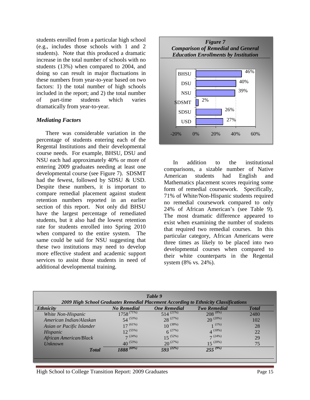students enrolled from a particular high school (e.g., includes those schools with 1 and 2 students). Note that this produced a dramatic increase in the total number of schools with no students (13%) when compared to 2004, and doing so can result in major fluctuations in these numbers from year-to-year based on two factors: 1) the total number of high schools included in the report; and 2) the total number of part-time students which varies dramatically from year-to-year.

#### *Mediating Factors*

There was considerable variation in the percentage of students entering each of the Regental Institutions and their developmental course needs. For example, BHSU, DSU and NSU each had approximately 40% or more of entering 2009 graduates needing at least one developmental course (see Figure 7). SDSMT had the fewest, followed by SDSU & USD. Despite these numbers, it is important to compare remedial placement against student retention numbers reported in an earlier section of this report. Not only did BHSU have the largest percentage of remediated students, but it also had the lowest retention rate for students enrolled into Spring 2010 when compared to the entire system. The same could be said for NSU suggesting that these two institutions may need to develop more effective student and academic support services to assist those students in need of additional developmental training.



In addition to the institutional comparisons, a sizable number of Native American students had English and Mathematics placement scores requiring some form of remedial coursework. Specifically, 71% of White/Non-Hispanic students required no remedial coursework compared to only 24% of African American's (see Table 9). The most dramatic difference appeared to exist when examining the number of students that required two remedial courses. In this particular category, African Americans were three times as likely to be placed into two developmental courses when compared to their white counterparts in the Regental system (8% vs. 24%).

|                           |                    | Table 9             |                                                                                      |              |
|---------------------------|--------------------|---------------------|--------------------------------------------------------------------------------------|--------------|
|                           |                    |                     | 2009 High School Graduates Remedial Placement According to Ethnicity Classifications |              |
| <i><b>Ethnicity</b></i>   | <b>No Remedial</b> | <b>One Remedial</b> | <b>Two Remedial</b>                                                                  | <b>Total</b> |
| White Non-Hispanic        | $1758^{(71\%)}$    | $514^{(21\%)}$      | $208^{(8\%)}$                                                                        | 2480         |
| American Indian/Alaskan   | $54^{(53\%)}$      | $28^{(27%)}$        | $20^{(20\%)}$                                                                        | 102          |
| Asian or Pacific Islander | $17^{(61\%)}$      | $10^{(38\%)}$       | $1^{(1\%)}$                                                                          | 28           |
| Hispanic                  | $12^{(55\%)}$      | $6^{(27%)}$         | $4^{(18\%)}$                                                                         | 22           |
| African American/Black    | 7(24%)             | $15^{(52\%)}$       | 7(24%)                                                                               | 29           |
| <i>Unknown</i>            | $40^{(53\%)}$      | $20^{(27%)}$        | $15^{(20\%)}$                                                                        | 75           |
| <b>T</b> otal             | $1888^{(69\%)}$    | $593^{(22\%)}$      | $255^{(9\%)}$                                                                        |              |
|                           |                    |                     |                                                                                      |              |
|                           |                    |                     |                                                                                      |              |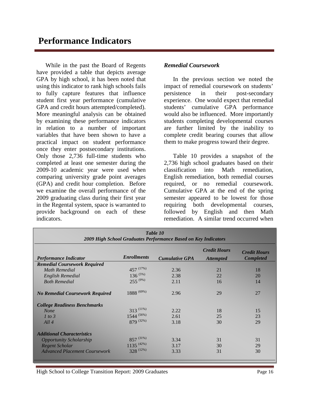While in the past the Board of Regents have provided a table that depicts average GPA by high school, it has been noted that using this indicator to rank high schools fails to fully capture features that influence student first year performance (cumulative GPA and credit hours attempted/completed). More meaningful analysis can be obtained by examining these performance indicators in relation to a number of important variables that have been shown to have a practical impact on student performance once they enter postsecondary institutions. Only those 2,736 full-time students who completed at least one semester during the 2009-10 academic year were used when comparing university grade point averages (GPA) and credit hour completion. Before we examine the overall performance of the 2009 graduating class during their first year in the Regental system, space is warranted to provide background on each of these indicators.

#### *Remedial Coursework*

In the previous section we noted the impact of remedial coursework on students' persistence in their post-secondary experience. One would expect that remedial students' cumulative GPA performance would also be influenced. More importantly students completing developmental courses are further limited by the inability to complete credit bearing courses that allow them to make progress toward their degree.

Table 10 provides a snapshot of the 2,736 high school graduates based on their classification into Math remediation, English remediation, both remedial courses required, or no remedial coursework. Cumulative GPA at the end of the spring semester appeared to be lowest for those requiring both developmental courses, followed by English and then Math remediation. A similar trend occurred when

| Table 10<br>2009 High School Graduates Performance Based on Key Indicators |                         |                       |                                         |                                         |  |  |
|----------------------------------------------------------------------------|-------------------------|-----------------------|-----------------------------------------|-----------------------------------------|--|--|
| <b>Performance Indicator</b>                                               | <b>Enrollments</b>      | <b>Cumulative GPA</b> | <b>Credit Hours</b><br><b>Attempted</b> | <b>Credit Hours</b><br><b>Completed</b> |  |  |
| <b>Remedial Coursework Required</b>                                        | 457 (17%)               |                       |                                         |                                         |  |  |
| Math Remedial<br>English Remedial                                          | $136^{(5\%)}$           | 2.36<br>2.38          | 21<br>22                                | 18<br>20                                |  |  |
| <b>Both Remedial</b>                                                       | $255^{(9\%)}$           | 2.11                  | 16                                      | 14                                      |  |  |
| <b>No Remedial Coursework Required</b>                                     | $1888^{(69\%)}$         | 2.96                  | 29                                      | 27                                      |  |  |
| <b>College Readiness Benchmarks</b>                                        |                         |                       |                                         |                                         |  |  |
| <b>None</b>                                                                | $313^{(11\%)}$          | 2.22                  | 18                                      | 15                                      |  |  |
| 1 to 3                                                                     | $1544$ <sup>(56%)</sup> | 2.61                  | 25                                      | 23                                      |  |  |
| All4                                                                       | 879 (32%)               | 3.18                  | 30                                      | 29                                      |  |  |
| <b>Additional Characteristics</b>                                          |                         |                       |                                         |                                         |  |  |
| <b>Opportunity Scholarship</b>                                             | $857^{(31\%)}$          | 3.34                  | 31                                      | 31                                      |  |  |
| Regent Scholar                                                             | $1135^{(42\%)}$         | 3.17                  | 30                                      | 29                                      |  |  |
| <b>Advanced Placement Coursework</b>                                       | 328 (12%)               | 3.33                  | 31                                      | 30                                      |  |  |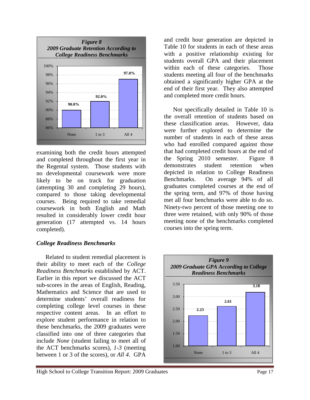

examining both the credit hours attempted and completed throughout the first year in the Regental system. Those students with no developmental coursework were more likely to be on track for graduation (attempting 30 and completing 29 hours), compared to those taking developmental courses. Being required to take remedial coursework in both English and Math resulted in considerably lower credit hour generation (17 attempted vs. 14 hours completed).

#### *College Readiness Benchmarks*

Related to student remedial placement is their ability to meet each of the *College Readiness Benchmarks* established by ACT. Earlier in this report we discussed the ACT sub-scores in the areas of English, Reading, Mathematics and Science that are used to determine students' overall readiness for completing college level courses in these respective content areas. In an effort to explore student performance in relation to these benchmarks, the 2009 graduates were classified into one of three categories that include *None* (student failing to meet all of the ACT benchmarks scores), *1-3* (meeting between 1 or 3 of the scores), or *All 4*. GPA

and credit hour generation are depicted in Table 10 for students in each of these areas with a positive relationship existing for students overall GPA and their placement within each of these categories. Those students meeting all four of the benchmarks obtained a significantly higher GPA at the end of their first year. They also attempted and completed more credit hours.

Not specifically detailed in Table 10 is the overall retention of students based on these classification areas. However, data were further explored to determine the number of students in each of these areas who had enrolled compared against those that had completed credit hours at the end of the Spring 2010 semester. Figure 8 demonstrates student retention when depicted in relation to College Readiness Benchmarks. On average 94% of all graduates completed courses at the end of the spring term, and 97% of those having met all four benchmarks were able to do so. Ninety-two percent of those meeting one to three were retained, with only 90% of those meeting none of the benchmarks completed courses into the spring term.

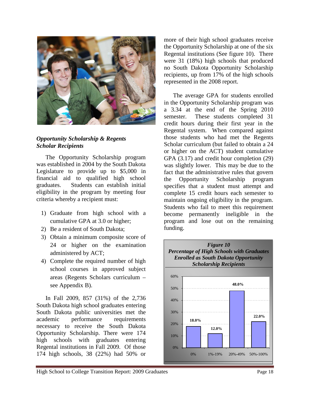

#### *Opportunity Scholarship & Regents Scholar Recipients*

The Opportunity Scholarship program was established in 2004 by the South Dakota Legislature to provide up to \$5,000 in financial aid to qualified high school graduates. Students can establish initial eligibility in the program by meeting four criteria whereby a recipient must:

- 1) Graduate from high school with a cumulative GPA at 3.0 or higher;
- 2) Be a resident of South Dakota;
- 3) Obtain a minimum composite score of 24 or higher on the examination administered by ACT;
- 4) Complete the required number of high school courses in approved subject areas (Regents Scholars curriculum – see Appendix B).

In Fall 2009, 857 (31%) of the 2,736 South Dakota high school graduates entering South Dakota public universities met the academic performance requirements necessary to receive the South Dakota Opportunity Scholarship. There were 174 high schools with graduates entering Regental institutions in Fall 2009. Of those 174 high schools, 38 (22%) had 50% or

more of their high school graduates receive the Opportunity Scholarship at one of the six Regental institutions (See figure 10). There were 31 (18%) high schools that produced no South Dakota Opportunity Scholarship recipients, up from 17% of the high schools represented in the 2008 report.

The average GPA for students enrolled in the Opportunity Scholarship program was a 3.34 at the end of the Spring 2010 semester. These students completed 31 credit hours during their first year in the Regental system. When compared against those students who had met the Regents Scholar curriculum (but failed to obtain a 24 or higher on the ACT) student cumulative GPA (3.17) and credit hour completion (29) was slightly lower. This may be due to the fact that the administrative rules that govern the Opportunity Scholarship program specifies that a student must attempt and complete 15 credit hours each semester to maintain ongoing eligibility in the program. Students who fail to meet this requirement become permanently ineligible in the program and lose out on the remaining funding.

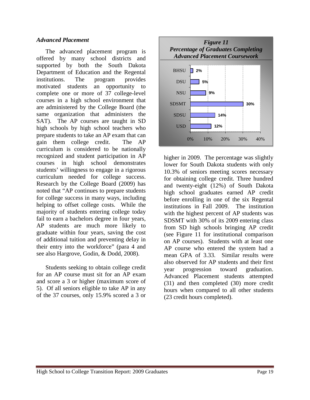#### *Advanced Placement*

The advanced placement program is offered by many school districts and supported by both the South Dakota Department of Education and the Regental institutions. The program provides<br>motivated students an opportunity to motivated students an complete one or more of 37 college-level courses in a high school environment that are administered by the College Board (the same organization that administers the SAT). The AP courses are taught in SD high schools by high school teachers who prepare students to take an AP exam that can gain them college credit. The AP curriculum is considered to be nationally recognized and student participation in AP courses in high school demonstrates students' willingness to engage in a rigorous curriculum needed for college success. Research by the College Board (2009) has noted that "AP continues to prepare students for college success in many ways, including helping to offset college costs. While the majority of students entering college today fail to earn a bachelors degree in four years, AP students are much more likely to graduate within four years, saving the cost of additional tuition and preventing delay in their entry into the workforce" (para 4 and see also Hargrove, Godin, & Dodd, 2008).

Students seeking to obtain college credit for an AP course must sit for an AP exam and score a 3 or higher (maximum score of 5). Of all seniors eligible to take AP in any of the 37 courses, only 15.9% scored a 3 or



higher in 2009. The percentage was slightly lower for South Dakota students with only 10.3% of seniors meeting scores necessary for obtaining college credit. Three hundred and twenty-eight (12%) of South Dakota high school graduates earned AP credit before enrolling in one of the six Regental institutions in Fall 2009. The institution with the highest percent of AP students was SDSMT with 30% of its 2009 entering class from SD high schools bringing AP credit (see Figure 11 for institutional comparison on AP courses). Students with at least one AP course who entered the system had a mean GPA of 3.33. Similar results were also observed for AP students and their first year progression toward graduation. Advanced Placement students attempted (31) and then completed (30) more credit hours when compared to all other students (23 credit hours completed).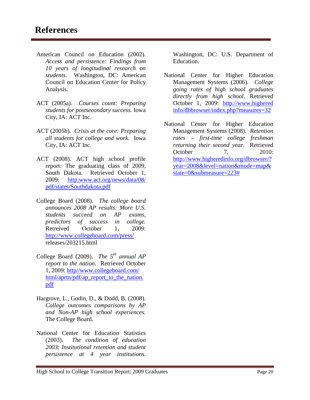- American Council on Education (2002). *Access and persistence: Findings from 10 years of longitudinal research on students.* Washington, DC: American Council on Education Center for Policy Analysis.
- ACT (2005a). *Courses count: Preparing students for postsecondary success.* Iowa City, IA: ACT Inc.
- ACT (2005b). *Crisis at the core: Preparing all students for college and work.* Iowa City, IA: ACT Inc.
- ACT (2008). ACT high school profile report: The graduating class of 2009, South Dakota. Retrieved October 1, 2009: [http:www.act.org/news/data/08/](http://www.act.org/news/data/08/pdf/states/Southdakota.pdf)  [pdf/states/Southdakota.pdf](http://www.act.org/news/data/08/pdf/states/Southdakota.pdf)
- College Board (2008). *The college board announces 2008 AP results: More U.S. students succeed on AP exams, predictors of success in college.* Retreived October 1, 2009: <http://www.collegeboard.com/press/> releases/203215.html
- College Board (2009). *The 5th annual AP report to the nation.* Retrieved October 1, 2009: http//www.collegeboard.com/ html/aprtn/pdf/ap\_report\_to\_the\_nation. pdf
- Hargrove, L., Godin, D., & Dodd, B. (2008). *College outcomes comparisons by AP and Non-AP high school experiences.* The College Board.
- National Center for Education Statistics (2003). *The condition of education 2003: Institutional retention and student persistence at 4 year institutions.*

Washington, DC: U.S. Department of Education.

- National Center for Higher Education Management Systems (2006). *College going rates of high school graduates directly from high school.* Retrieved October 1, 2009: http://www.highered info/dbbrowser/index.php?measures=32
- National Center for Higher Education Management Systems (2008). *Retention rates – first-time college freshman returning their second year.* Retrieved October 7, 2010: [http://www.higheredinfo.org/dbrowser/?](http://www.higheredinfo.org/dbrowser/?year=2008&level=nation&mode=map&state=0&submeasure=223) [year=2008&level=nation&mode=map&](http://www.higheredinfo.org/dbrowser/?year=2008&level=nation&mode=map&state=0&submeasure=223) [state=0&submeasure=223#](http://www.higheredinfo.org/dbrowser/?year=2008&level=nation&mode=map&state=0&submeasure=223)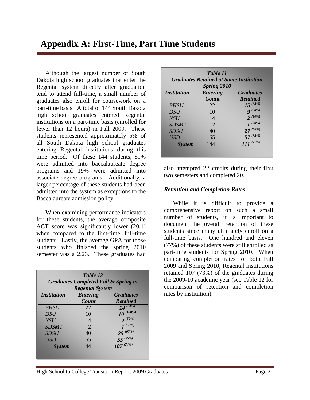Although the largest number of South Dakota high school graduates that enter the Regental system directly after graduation tend to attend full-time, a small number of graduates also enroll for coursework on a part-time basis. A total of 144 South Dakota high school graduates entered Regental institutions on a part-time basis (enrolled for fewer than 12 hours) in Fall 2009. These students represented approximately 5% of all South Dakota high school graduates entering Regental institutions during this time period. Of these 144 students, 81% were admitted into baccalaureate degree programs and 19% were admitted into associate degree programs. Additionally, a larger percentage of these students had been admitted into the system as exceptions to the Baccalaureate admission policy.

When examining performance indicators for these students, the average composite ACT score was significantly lower (20.1) when compared to the first-time, full-time students. Lastly, the average GPA for those students who finished the spring 2010 semester was a 2.23. These graduates had

| Table 12<br><b>Graduates Completed Fall &amp; Spring in</b><br><b>Regental System</b> |                       |                 |  |  |  |  |
|---------------------------------------------------------------------------------------|-----------------------|-----------------|--|--|--|--|
| <b>Entering</b><br><i>Institution</i><br><b>Graduates</b>                             |                       |                 |  |  |  |  |
|                                                                                       | Count                 | <b>Retained</b> |  |  |  |  |
| <b>BHSU</b>                                                                           | 22                    | $14^{(64\%)}$   |  |  |  |  |
| <i>DSU</i>                                                                            | 10                    | $10^{(100\%)}$  |  |  |  |  |
| <b>NSU</b>                                                                            |                       | $2^{(50\%)}$    |  |  |  |  |
| <b>SDSMT</b>                                                                          | $\mathcal{D}_{\cdot}$ | $1^{(50\%)}$    |  |  |  |  |
| <b>SDSU</b>                                                                           | 40                    | $25^{(63\%)}$   |  |  |  |  |
| <b>USD</b>                                                                            | 65                    | $55^{(65\%)}$   |  |  |  |  |
| <b>System</b>                                                                         | 144                   | $107^{(74\%)}$  |  |  |  |  |
|                                                                                       |                       |                 |  |  |  |  |

| Table 11<br><b>Graduates Retained at Same Institution</b><br><b>Spring 2010</b> |                          |                                     |  |  |  |
|---------------------------------------------------------------------------------|--------------------------|-------------------------------------|--|--|--|
| <i><b>Institution</b></i>                                                       | <b>Entering</b><br>Count | <b>Graduates</b><br><b>Retained</b> |  |  |  |
| <b>BHSU</b>                                                                     | 22                       | $15^{(68\%)}$                       |  |  |  |
| <b>DSU</b>                                                                      | 10                       | $\bm{Q}^{(90\%)}$                   |  |  |  |
| <b>NSU</b>                                                                      | 4                        | $2^{(50\%)}$                        |  |  |  |
| <b>SDSMT</b>                                                                    | $\mathcal{D}_{\cdot}$    | $1^{(50\%)}$                        |  |  |  |
| <b>SDSU</b>                                                                     | 40                       | $27^{(68\%)}$                       |  |  |  |
| <b>USD</b>                                                                      | 65                       | $57^{(88\%)}$                       |  |  |  |
| <b>System</b>                                                                   | 144                      | $111^{(77%)}$                       |  |  |  |

also attempted 22 credits during their first two semesters and completed 20.

#### *Retention and Completion Rates*

While it is difficult to provide a comprehensive report on such a small number of students, it is important to document the overall retention of these students since many ultimately enroll on a full-time basis. One hundred and eleven (77%) of these students were still enrolled as part-time students for Spring 2010. When comparing completion rates for both Fall 2009 and Spring 2010, Regental institutions retained 107 (73%) of the graduates during the 2009-10 academic year (see Table 12 for comparison of retention and completion rates by institution).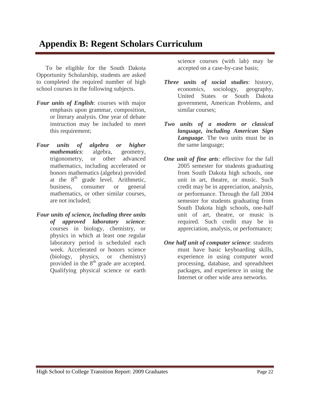### **Appendix B: Regent Scholars Curriculum**

To be eligible for the South Dakota Opportunity Scholarship, students are asked to completed the required number of high school courses in the following subjects.

- *Four units of English*: courses with major emphasis upon grammar, composition, or literary analysis. One year of debate instruction may be included to meet this requirement;
- *Four units of algebra or higher mathematics*: algebra, geometry, trigonometry, or other advanced mathematics, including accelerated or honors mathematics (algebra) provided at the  $8<sup>th</sup>$  grade level. Arithmetic, business, consumer or general mathematics, or other similar courses, are not included;
- *Four units of science, including three units of approved laboratory science*: courses in biology, chemistry, or physics in which at least one regular laboratory period is scheduled each week. Accelerated or honors science (biology, physics, or chemistry) provided in the 8<sup>th</sup> grade are accepted. Qualifying physical science or earth

science courses (with lab) may be accepted on a case-by-case basis;

- *Three units of social studies*: history, economics, sociology, geography, United States or South Dakota government, American Problems, and similar courses;
- *Two units of a modern or classical language, including American Sign Language*. The two units must be in the same language;
- *One unit of fine arts*: effective for the fall 2005 semester for students graduating from South Dakota high schools, one unit in art, theatre, or music. Such credit may be in appreciation, analysis, or performance. Through the fall 2004 semester for students graduating from South Dakota high schools, one-half unit of art, theatre, or music is required. Such credit may be in appreciation, analysis, or performance;
- *One half unit of computer science*: students must have basic keyboarding skills, experience in using computer word processing, database, and spreadsheet packages, and experience in using the Internet or other wide area networks.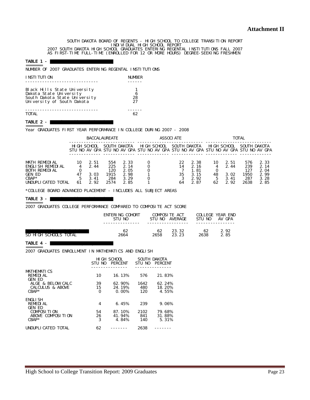SOUTH DAKOTA BOARD OF REGENTS - HIGH SCHOOL TO COLLEGE TRANSITION REPORT INDIVIDUAL HIGH SCHOOL REPORT<br>2007 SOUTH DAKOTA HIGH SCHOOL GRADUATES ENTERING REGENTAL INSTITUTIONS FALL 2007<br>AS FIRST-TIME FULL-TIME (ENROLLED FOR 12 OR MORE HOURS) DEGREE-SEEKING FRESHMEN

#### TABLE  $1 -$ =======

NUMBER OF 2007 GRADUATES ENTERING REGENTAL INSTITUTIONS

| I NSTI TUTI ON                | <b>NUMBER</b> |
|-------------------------------|---------------|
|                               |               |
| Black Hills State University  |               |
| Dakota State University       | 6             |
| South Dakota State University | 28            |
| University of South Dakota    | 27            |
| <b>TOTAL</b>                  |               |

#### TABLE 2 -  $B$

Year GRADUATES FIRST YEAR PERFORMANCE IN COLLEGE DURING 2007 - 2008

|                                                                                                  | <b>BACCALAUREATE</b>     |                                      |                                          | <b>ASSOCI ATE</b>                            |             |  | <b>TOTAL</b>         |                                                                                                     |                |                                      |                                          |                                              |
|--------------------------------------------------------------------------------------------------|--------------------------|--------------------------------------|------------------------------------------|----------------------------------------------|-------------|--|----------------------|-----------------------------------------------------------------------------------------------------|----------------|--------------------------------------|------------------------------------------|----------------------------------------------|
|                                                                                                  |                          | HIGH SCHOOL                          |                                          | SOUTH DAKOTA                                 | HIGH SCHOOL |  |                      | SOUTH DAKOTA<br>STU NO AV GPA STU NO AV GPA STU NO AV GPA STU NO AV GPA STU NO AV GPA STU NO AV GPA |                | HIGH SCHOOL                          | SOUTH DAKOTA                             |                                              |
| MATH REMEDIAL<br>ENGLI SH REMEDI AL<br>BOTH REMEDIAL<br>GEN ED<br>$CBAP*$<br>UNDUPLI CATED TOTAL | 10<br>4<br>47<br>5<br>61 | 2.51<br>2.44<br>3.03<br>3.41<br>2.92 | 554<br>225<br>120<br>1915<br>284<br>2574 | 2.33<br>2.14<br>2.05<br>2.98<br>3.29<br>2.85 |             |  | 22<br>14<br>35<br>64 | 2.38<br>2.16<br>1.81<br>3.15<br>2.92<br>2.87                                                        | 10<br>48<br>62 | 2.51<br>2.44<br>3.02<br>3.41<br>2.92 | 576<br>239<br>127<br>1950<br>287<br>2638 | 2.33<br>2.14<br>2.04<br>2.99<br>3.28<br>2.85 |

\*COLLEGE BOARD ADVANCED PLACEMENT - INCLUDES ALL SUBJECT AREAS

#### TABLE  $3 -$

======= 2007 GRADUATES COLLEGE PERFORMANCE COMPARED TO COMPOSITE ACT SCORE

|                       | ENTERING COHORT<br>STU NO | COMPOSITE ACT<br>STU NO<br><b>AVERAGE</b> |       | STU NO | <b>COLLEGE YEAR END</b><br>AV GPA |  |
|-----------------------|---------------------------|-------------------------------------------|-------|--------|-----------------------------------|--|
| SD HIGH SCHOOLS TOTAL | 62                        | 62                                        | 23.32 | 62     | 2.92                              |  |
|                       | 2664                      | 2658                                      | 23.23 | 2638   | 2.85                              |  |

#### TABLE  $4 -$

2007 GRADUATES ENROLLMENT IN MATHEMATICS AND ENGLISH

|                                  | STIL NO | HI GH SCHOOL<br><b>PERCENT</b> | STU NO | SOUTH DAKOTA<br><b>PERCENT</b> |
|----------------------------------|---------|--------------------------------|--------|--------------------------------|
| <b>MATHEMATICS</b>               |         |                                |        |                                |
| <b>REMEDIAL</b><br><b>GEN ED</b> | 10      | 16.13%                         | 576    | 21.83%                         |
| ALGE & BELOW CALC                | 39      | 62.90%                         | 1642   | 62.24%                         |
| <b>CALCULUS &amp; ABOVE</b>      | 15      | 24.19%                         | 480    | 18.20%                         |
| $CRAP*$                          | 0       | 0.00%                          | 120    | 4.55%                          |
| <b>ENGLISH</b>                   |         |                                |        |                                |
| <b>REMEDIAL</b>                  | 4       | 6.45%                          | 239    | 9.06%                          |
| <b>GEN ED</b>                    |         |                                |        |                                |
| <b>COMPOSITION</b>               | 54      | 87.10%                         | 2102   | 79.68%                         |
| ABOVE COMPOSITION                | 26      | 41.94%                         | 841    | 31.88%                         |
| $CRAP*$                          | 3       | 4.84%                          | 140    | 5.31%                          |
| UNDUPLI CATED TOTAL              | 62      |                                | 2638   |                                |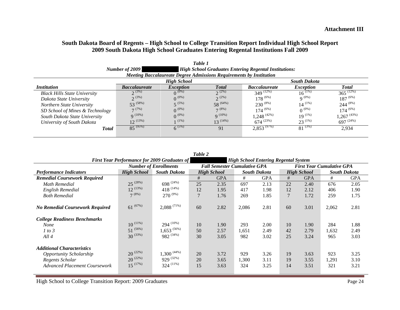#### **South Dakota Board of Regents – High School to College Transition Report Individual High School Report 2009 South Dakota High School Graduates Entering Regental Institutions Fall 2009**

|                                     | Number of $2009$            |                                                                            |               | <b>High School Graduates Entering Regental Institutions:</b> |                     |                  |
|-------------------------------------|-----------------------------|----------------------------------------------------------------------------|---------------|--------------------------------------------------------------|---------------------|------------------|
|                                     |                             | <b>Meeting Baccalaureate Degree Admissions Requirements by Institution</b> |               |                                                              |                     |                  |
|                                     |                             | <b>High School</b>                                                         |               |                                                              | <b>South Dakota</b> |                  |
| <i>Institution</i>                  | <i><b>Baccalaureate</b></i> | <i>Exception</i>                                                           | <b>Total</b>  | <i><b>Baccalaureate</b></i>                                  | <i>Exception</i>    | <b>Total</b>     |
| <b>Black Hills State University</b> | $2^{(3\%)}$                 | $0^{(0\%)}$                                                                | $2\%)$        | $349$ $(12\%)$                                               | $16^{(1\%)}$        | $365^{(12\%)}$   |
| Dakota State University             | $2^{(3\%)}$                 | $0^{(0\%)}$                                                                | $2^{(2\%)}$   | $178^{(6\%)}$                                                | $Q^{(0\%)}$         | $187^{(6\%)}$    |
| Northern State University           | $53^{(58\%)}$               | $5^{(5\%)}$                                                                | 58 (64%)      | $230^{(8\%)}$                                                | $14^{(1\%)}$        | $244^{(8\%)}$    |
| SD School of Mines & Technology     | 7(7%)                       | $\Omega^{(0\%)}$                                                           | $7^{(8\%)}$   | $174^{(6\%)}$                                                | $0^{(0\%)}$         | $174^{(6\%)}$    |
| South Dakota State University       | $Q^{(10\%)}$                | $0^{(0\%)}$                                                                | $Q^{(10\%)}$  | $1,248^{(42\%)}$                                             | $19^{(1\%)}$        | $1,267^{(43\%)}$ |
| University of South Dakota          | $12^{(13\%)}$               | $1(1\%)$                                                                   | $13^{(14\%)}$ | $674^{(23%)}$                                                | $23^{(1\%)}$        | $697^{(24%)}$    |
| <b>Total</b>                        | $85^{(95\%)}$               | $6^{(5\%)}$                                                                | 91            | $2,853^{(97\%)}$                                             | $81^{(3\%)}$        | 2,934            |
|                                     |                             |                                                                            |               |                                                              |                     |                  |

| Table 2                                                                                                                        |                                                 |                                                      |                |                                     |                     |                      |                |                      |                                  |                      |
|--------------------------------------------------------------------------------------------------------------------------------|-------------------------------------------------|------------------------------------------------------|----------------|-------------------------------------|---------------------|----------------------|----------------|----------------------|----------------------------------|----------------------|
| <b>First Year Performance for 2009 Graduates of</b><br><b>High School Entering Regental System</b>                             |                                                 |                                                      |                |                                     |                     |                      |                |                      |                                  |                      |
|                                                                                                                                |                                                 | <b>Number of Enrollments</b>                         |                | <b>Fall Semester Cumulative GPA</b> |                     |                      |                |                      | <b>First Year Cumulative GPA</b> |                      |
| <b>Performance Indicators</b>                                                                                                  | <b>High School</b>                              | <b>South Dakota</b>                                  |                | <b>High School</b>                  |                     | <b>South Dakota</b>  |                | <b>High School</b>   |                                  | <b>South Dakota</b>  |
| <b>Remedial Coursework Required</b>                                                                                            |                                                 |                                                      | #              | <b>GPA</b>                          | #                   | <b>GPA</b>           | #              | <b>GPA</b>           | #                                | <b>GPA</b>           |
| <b>Math Remedial</b>                                                                                                           | $25^{(28%)}$                                    | 698 $(24%)$                                          | 25             | 2.35                                | 697                 | 2.13                 | 22             | 2.40                 | 676                              | 2.05                 |
| <b>English Remedial</b>                                                                                                        | $12^{(13%)}$                                    | $418^{(14\%)}$                                       | 12             | 1.95                                | 417                 | 1.98                 | 12             | 2.12                 | 406                              | 1.90                 |
| <b>Both Remedial</b>                                                                                                           | $7^{(8\%)}$                                     | $270^{(9\%)}$                                        | $\overline{7}$ | 1.76                                | 269                 | 1.85                 |                | 1.72                 | 259                              | 1.75                 |
| <b>No Remedial Coursework Required</b>                                                                                         | $61^{(67\%)}$                                   | $2,088$ <sup>(71%)</sup>                             | 60             | 2.82                                | 2,086               | 2.81                 | 60             | 3.01                 | 2,062                            | 2.81                 |
| <b>College Readiness Benchmarks</b><br><b>None</b><br>1 to 3<br>All4                                                           | $10^{(11\%)}$<br>$51^{(56\%)}$<br>$30^{(33\%)}$ | $294$ $(10\%)$<br>$1,653^{(56\%)}$<br>$982^{(34\%)}$ | 10<br>50<br>30 | 1.90<br>2.57<br>3.05                | 293<br>1,651<br>982 | 2.00<br>2.49<br>3.02 | 10<br>42<br>25 | 1.90<br>2.79<br>3.24 | 284<br>1,632<br>965              | 1.88<br>2.49<br>3.03 |
| <b>Additional Characteristics</b><br><b>Opportunity Scholarship</b><br>Regents Scholar<br><b>Advanced Placement Coursework</b> | $20^{(22\%)}$<br>$20^{(22\%)}$<br>$15^{(17%)}$  | $1,300^{(44\%)}$<br>$929^{(32\%)}$<br>$324$ $(11\%)$ | 20<br>20<br>15 | 3.72<br>3.65<br>3.63                | 929<br>1,300<br>324 | 3.26<br>3.11<br>3.25 | 19<br>19<br>14 | 3.63<br>3.55<br>3.51 | 923<br>1,291<br>321              | 3.25<br>3.10<br>3.21 |

*Table 1*

| High School to College Transition Report: 2009 Graduates | $\bigcap$<br>$P_{\text{age}}$ 24 |
|----------------------------------------------------------|----------------------------------|
|                                                          |                                  |